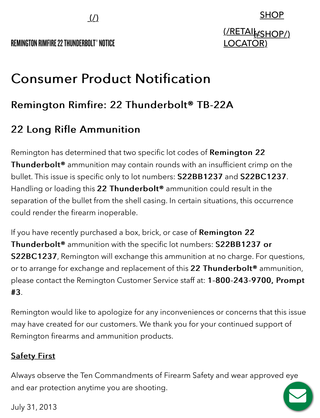REMINGTON RIMFIRE22 THUNDERBOLT® NOTICE

#### SHOP

### <u>(/RETAIk:SHOP/)</u> **LOCATOR**

# **Consumer Product Notification**

## Remington Rimfire: 22 Thunderbolt® TB-22A

## 22 Long Rifle Ammunition 22 Long Rifle Ammunition

Remington has determined that two specific lot codes of Remington 22 Thunderbolt<sup>®</sup> ammunition may contain rounds with an insufficient crimp on the bullet. This issue is specific only to lot numbers: S22BB1237 and S22BC1237. Handling or loading this 22 Thunderbolt<sup>®</sup> ammunition could result in the separation of the bullet from the shell casing. In certain situations, this occurrence could render the firearm inoperable.

If you have recently purchased a box, brick, or case of Remington 22 Thunderbolt<sup>®</sup> ammunition with the specific lot numbers: S22BB1237 or S22BC1237, Remington will exchange this ammunition at no charge. For questions, or to arrange for exchange and replacement of this 22 Thunderbolt<sup>®</sup> ammunition, please contact the Remington Customer Service staff at: 1-800-243-9700, Prompt  $#3.$ 

Remington would like to apologize for any inconveniences or concerns that this issue may have created for our customers. We thank you for your continued support of Remington firearms and ammunition products.

#### **Safety First**

Always observe the Ten Commandments of Firearm Safety and wear approved eye and ear protection anytime you are shooting.

July 31, 2013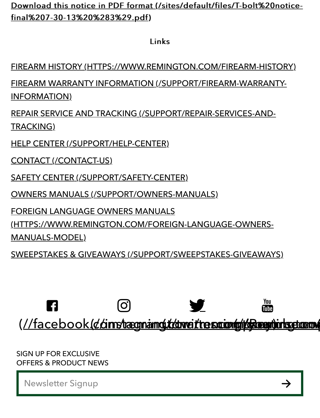Download this notice in PDF format (/sites/default/files/T-bolt%20noticefinal%207-30-13%20%283%29.pdf) final%207-30-13%20%283%29.pdf)

Links

[FIREARM HISTORY \(HTTPS://WWW.REMINGTON.COM/FIREARM-HISTORY\)](https://www.remington.com/firearm-history)

[FIREARM WARRANTY INFORMATION \(/SUPPORT/FIREARM-WARRANTY-](https://www.remington.com/support/firearm-warranty-information)INFORMATION)

[REPAIR SERVICE AND TRACKING \(/SUPPORT/REPAIR-SERVICES-AND-](https://www.remington.com/support/repair-services-and-tracking)TRACKING)

[HELP CENTER \(/SUPPORT/HELP-CENTER\)](https://www.remington.com/support/help-center)

[CONTACT \(/CONTACT-US\)](https://www.remington.com/contact-us)

[SAFETY CENTER \(/SUPPORT/SAFETY-CENTER\)](https://www.remington.com/support/safety-center)

[OWNERS MANUALS \(/SUPPORT/OWNERS-MANUALS\)](https://www.remington.com/support/owners-manuals)

FOREIGN LANGUAGE OWNERS MANUALS

[\(HTTPS://WWW.REMINGTON.COM/FOREIGN-LANGUAGE-OWNERS-](https://www.remington.com/foreign-language-owners-manuals-model)

MANUALS-MODEL)

[SWEEPSTAKES & GIVEAWAYS \(/SUPPORT/SWEEPSTAKES-GIVEAWAYS\)](https://www.remington.com/support/sweepstakes-giveaways)



SIGN UP FOR EXCLUSIVE OFFERS & PRODUCT NEWS

Newsletter Signup